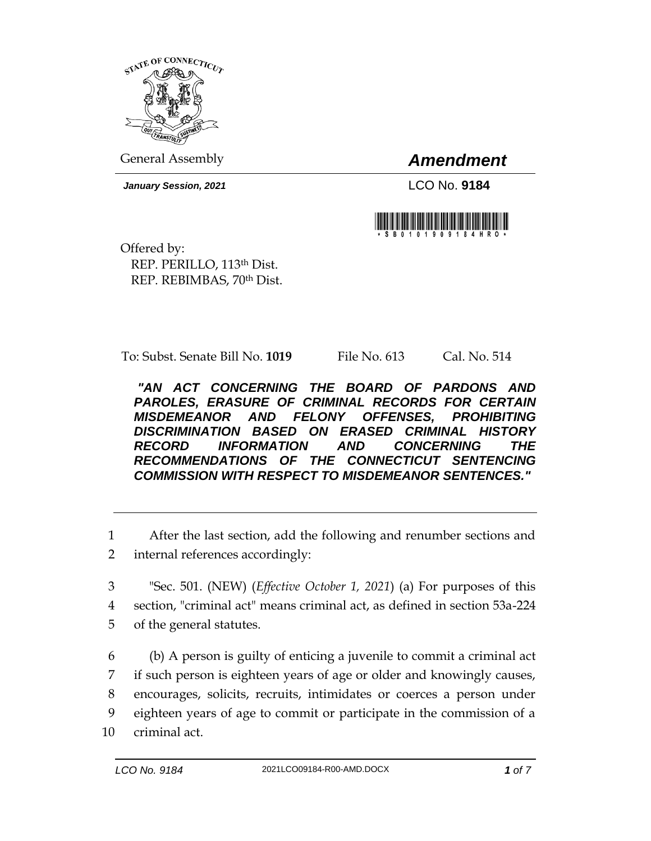

General Assembly *Amendment*

*January Session, 2021* LCO No. **9184**



Offered by: REP. PERILLO, 113th Dist. REP. REBIMBAS, 70th Dist.

To: Subst. Senate Bill No. **1019** File No. 613 Cal. No. 514

*"AN ACT CONCERNING THE BOARD OF PARDONS AND PAROLES, ERASURE OF CRIMINAL RECORDS FOR CERTAIN MISDEMEANOR AND FELONY OFFENSES, PROHIBITING DISCRIMINATION BASED ON ERASED CRIMINAL HISTORY RECORD INFORMATION AND CONCERNING THE RECOMMENDATIONS OF THE CONNECTICUT SENTENCING COMMISSION WITH RESPECT TO MISDEMEANOR SENTENCES."* 

1 After the last section, add the following and renumber sections and

- 2 internal references accordingly:
- 3 "Sec. 501. (NEW) (*Effective October 1, 2021*) (a) For purposes of this 4 section, "criminal act" means criminal act, as defined in section 53a-224 5 of the general statutes.
- 6 (b) A person is guilty of enticing a juvenile to commit a criminal act 7 if such person is eighteen years of age or older and knowingly causes, 8 encourages, solicits, recruits, intimidates or coerces a person under 9 eighteen years of age to commit or participate in the commission of a 10 criminal act.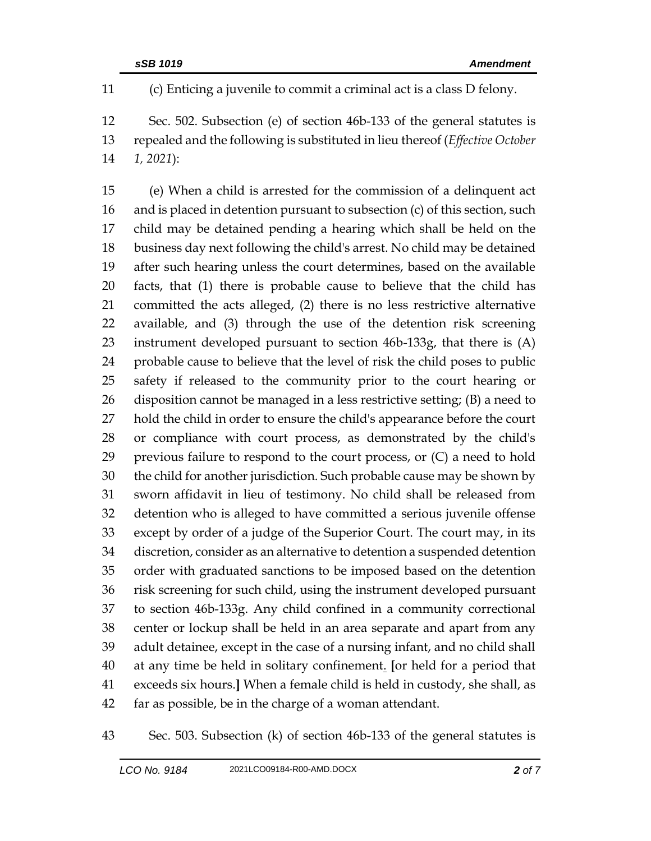(c) Enticing a juvenile to commit a criminal act is a class D felony.

 Sec. 502. Subsection (e) of section 46b-133 of the general statutes is repealed and the following is substituted in lieu thereof (*Effective October 1, 2021*):

 (e) When a child is arrested for the commission of a delinquent act and is placed in detention pursuant to subsection (c) of this section, such child may be detained pending a hearing which shall be held on the business day next following the child's arrest. No child may be detained after such hearing unless the court determines, based on the available facts, that (1) there is probable cause to believe that the child has committed the acts alleged, (2) there is no less restrictive alternative available, and (3) through the use of the detention risk screening instrument developed pursuant to section 46b-133g, that there is (A) probable cause to believe that the level of risk the child poses to public safety if released to the community prior to the court hearing or disposition cannot be managed in a less restrictive setting; (B) a need to hold the child in order to ensure the child's appearance before the court or compliance with court process, as demonstrated by the child's previous failure to respond to the court process, or (C) a need to hold the child for another jurisdiction. Such probable cause may be shown by sworn affidavit in lieu of testimony. No child shall be released from detention who is alleged to have committed a serious juvenile offense except by order of a judge of the Superior Court. The court may, in its discretion, consider as an alternative to detention a suspended detention order with graduated sanctions to be imposed based on the detention risk screening for such child, using the instrument developed pursuant to section 46b-133g. Any child confined in a community correctional center or lockup shall be held in an area separate and apart from any adult detainee, except in the case of a nursing infant, and no child shall at any time be held in solitary confinement. **[**or held for a period that exceeds six hours.**]** When a female child is held in custody, she shall, as far as possible, be in the charge of a woman attendant.

Sec. 503. Subsection (k) of section 46b-133 of the general statutes is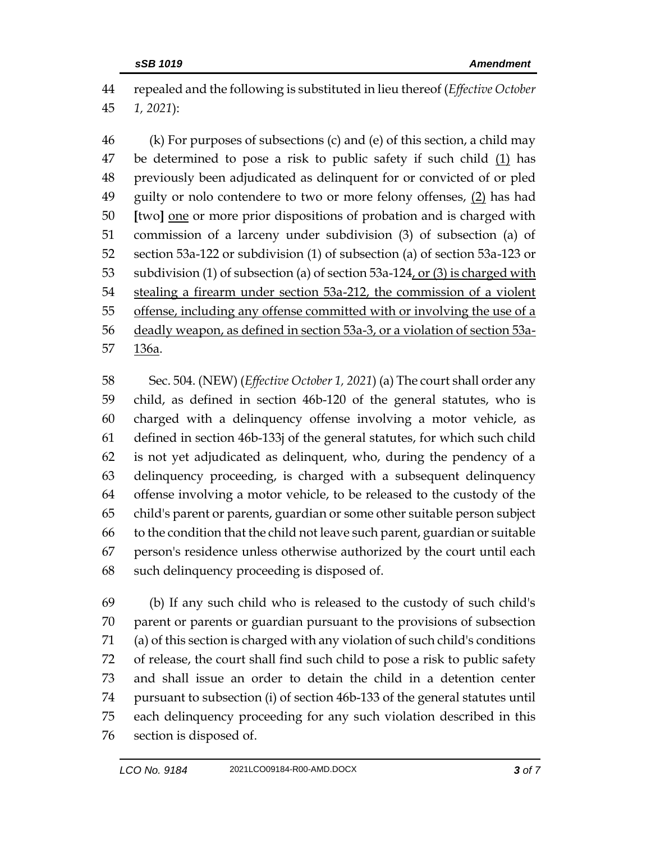repealed and the following is substituted in lieu thereof (*Effective October 1, 2021*):

 (k) For purposes of subsections (c) and (e) of this section, a child may be determined to pose a risk to public safety if such child (1) has previously been adjudicated as delinquent for or convicted of or pled 49 guilty or nolo contendere to two or more felony offenses, (2) has had **[**two**]** one or more prior dispositions of probation and is charged with commission of a larceny under subdivision (3) of subsection (a) of section 53a-122 or subdivision (1) of subsection (a) of section 53a-123 or 53 subdivision (1) of subsection (a) of section 53a-124, or (3) is charged with stealing a firearm under section 53a-212, the commission of a violent offense, including any offense committed with or involving the use of a deadly weapon, as defined in section 53a-3, or a violation of section 53a-136a.

 Sec. 504. (NEW) (*Effective October 1, 2021*) (a) The court shall order any child, as defined in section 46b-120 of the general statutes, who is charged with a delinquency offense involving a motor vehicle, as defined in section 46b-133j of the general statutes, for which such child is not yet adjudicated as delinquent, who, during the pendency of a delinquency proceeding, is charged with a subsequent delinquency offense involving a motor vehicle, to be released to the custody of the child's parent or parents, guardian or some other suitable person subject to the condition that the child not leave such parent, guardian or suitable person's residence unless otherwise authorized by the court until each such delinquency proceeding is disposed of.

 (b) If any such child who is released to the custody of such child's parent or parents or guardian pursuant to the provisions of subsection (a) of this section is charged with any violation of such child's conditions of release, the court shall find such child to pose a risk to public safety and shall issue an order to detain the child in a detention center pursuant to subsection (i) of section 46b-133 of the general statutes until each delinquency proceeding for any such violation described in this section is disposed of.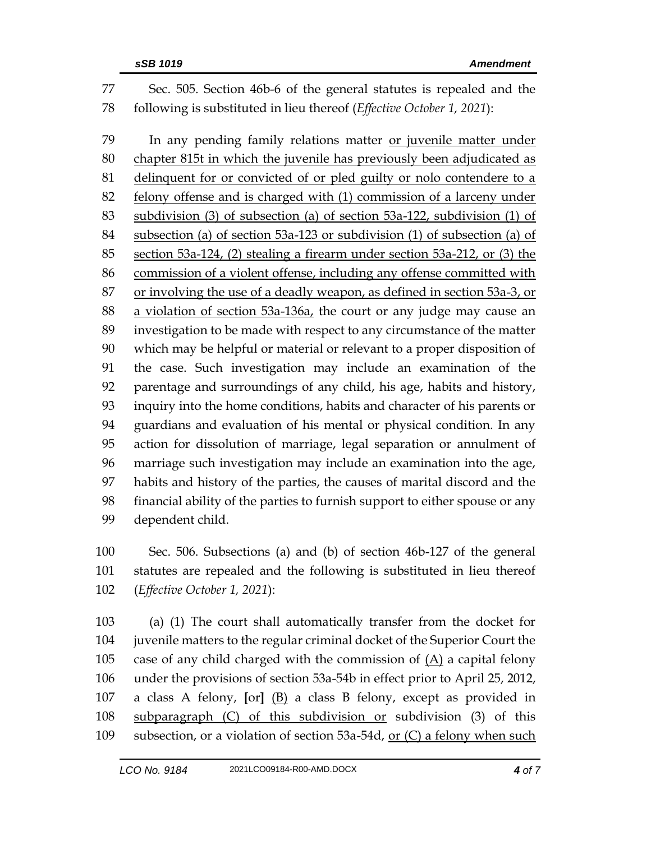| 77 | Sec. 505. Section 46b-6 of the general statutes is repealed and the         |  |
|----|-----------------------------------------------------------------------------|--|
| 78 | following is substituted in lieu thereof (Effective October 1, 2021):       |  |
| 79 | In any pending family relations matter or juvenile matter under             |  |
| 80 | chapter 815t in which the juvenile has previously been adjudicated as       |  |
| 81 | delinquent for or convicted of or pled guilty or nolo contendere to a       |  |
| 82 | felony offense and is charged with (1) commission of a larceny under        |  |
| 83 | subdivision (3) of subsection (a) of section 53a-122, subdivision (1) of    |  |
| 84 | subsection (a) of section 53a-123 or subdivision (1) of subsection (a) of   |  |
| 85 | section 53a-124, (2) stealing a firearm under section 53a-212, or (3) the   |  |
| 86 | commission of a violent offense, including any offense committed with       |  |
| 87 | or involving the use of a deadly weapon, as defined in section 53a-3, or    |  |
| 88 | a violation of section 53a-136a, the court or any judge may cause an        |  |
| 89 | investigation to be made with respect to any circumstance of the matter     |  |
| 90 | which may be helpful or material or relevant to a proper disposition of     |  |
| 91 | the case. Such investigation may include an examination of the              |  |
| 92 | parentage and surroundings of any child, his age, habits and history,       |  |
| 93 | inquiry into the home conditions, habits and character of his parents or    |  |
| 94 | guardians and evaluation of his mental or physical condition. In any        |  |
| 95 | action for dissolution of marriage, legal separation or annulment of        |  |
| 96 | marriage such investigation may include an examination into the age,        |  |
| 97 | habits and history of the parties, the causes of marital discord and the    |  |
| 98 | financial ability of the parties to furnish support to either spouse or any |  |
| 99 | dependent child.                                                            |  |
|    |                                                                             |  |

 Sec. 506. Subsections (a) and (b) of section 46b-127 of the general statutes are repealed and the following is substituted in lieu thereof (*Effective October 1, 2021*):

 (a) (1) The court shall automatically transfer from the docket for juvenile matters to the regular criminal docket of the Superior Court the 105 case of any child charged with the commission of  $(A)$  a capital felony under the provisions of section 53a-54b in effect prior to April 25, 2012, a class A felony, **[**or**]** (B) a class B felony, except as provided in subparagraph (C) of this subdivision or subdivision (3) of this subsection, or a violation of section 53a-54d, or (C) a felony when such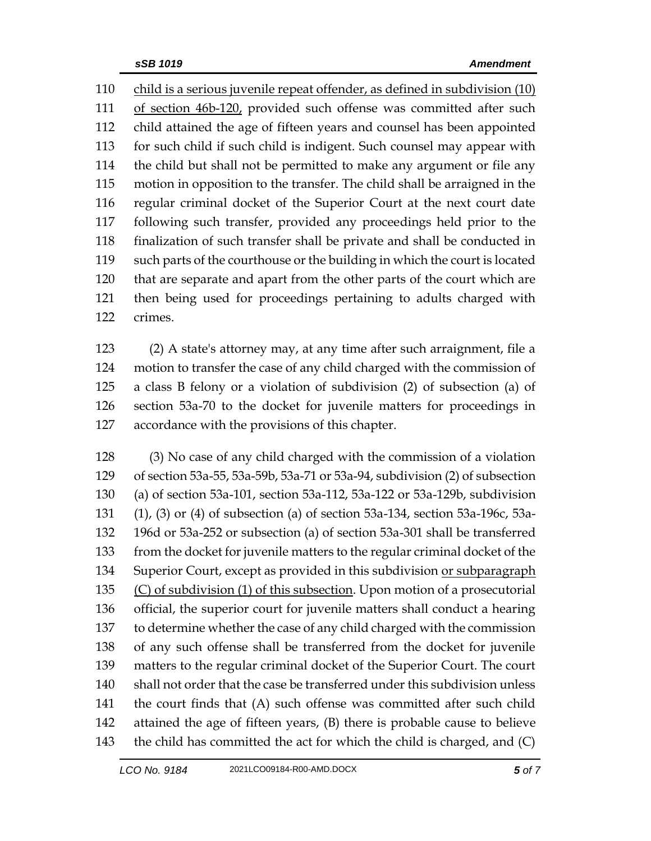child is a serious juvenile repeat offender, as defined in subdivision (10) of section 46b-120, provided such offense was committed after such child attained the age of fifteen years and counsel has been appointed for such child if such child is indigent. Such counsel may appear with the child but shall not be permitted to make any argument or file any motion in opposition to the transfer. The child shall be arraigned in the regular criminal docket of the Superior Court at the next court date following such transfer, provided any proceedings held prior to the finalization of such transfer shall be private and shall be conducted in such parts of the courthouse or the building in which the court is located that are separate and apart from the other parts of the court which are then being used for proceedings pertaining to adults charged with crimes.

 (2) A state's attorney may, at any time after such arraignment, file a motion to transfer the case of any child charged with the commission of a class B felony or a violation of subdivision (2) of subsection (a) of section 53a-70 to the docket for juvenile matters for proceedings in accordance with the provisions of this chapter.

 (3) No case of any child charged with the commission of a violation of section 53a-55, 53a-59b, 53a-71 or 53a-94, subdivision (2) of subsection (a) of section 53a-101, section 53a-112, 53a-122 or 53a-129b, subdivision (1), (3) or (4) of subsection (a) of section 53a-134, section 53a-196c, 53a- 196d or 53a-252 or subsection (a) of section 53a-301 shall be transferred from the docket for juvenile matters to the regular criminal docket of the 134 Superior Court, except as provided in this subdivision or subparagraph (C) of subdivision (1) of this subsection. Upon motion of a prosecutorial official, the superior court for juvenile matters shall conduct a hearing to determine whether the case of any child charged with the commission of any such offense shall be transferred from the docket for juvenile matters to the regular criminal docket of the Superior Court. The court shall not order that the case be transferred under this subdivision unless the court finds that (A) such offense was committed after such child attained the age of fifteen years, (B) there is probable cause to believe the child has committed the act for which the child is charged, and (C)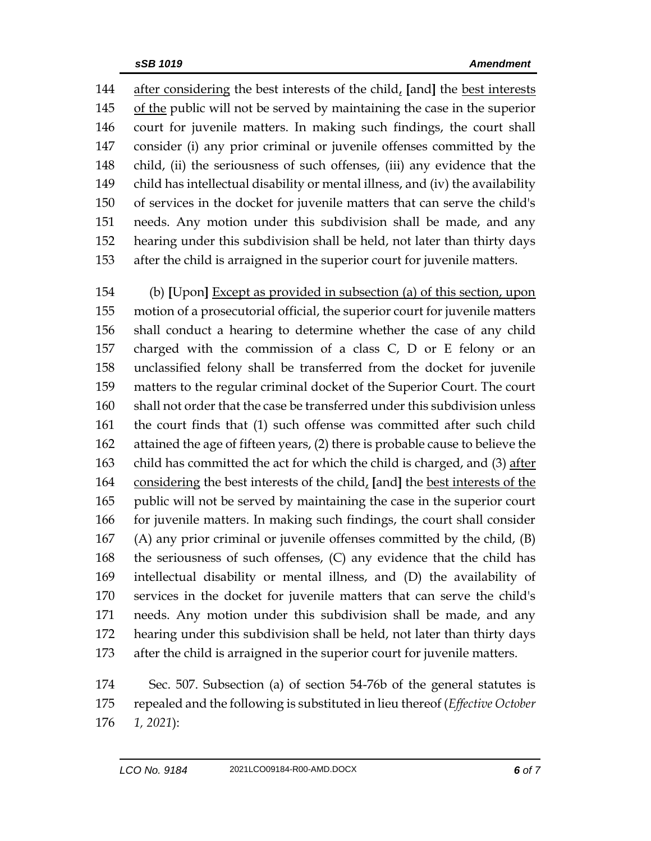after considering the best interests of the child, **[**and**]** the best interests of the public will not be served by maintaining the case in the superior court for juvenile matters. In making such findings, the court shall consider (i) any prior criminal or juvenile offenses committed by the child, (ii) the seriousness of such offenses, (iii) any evidence that the child has intellectual disability or mental illness, and (iv) the availability of services in the docket for juvenile matters that can serve the child's needs. Any motion under this subdivision shall be made, and any hearing under this subdivision shall be held, not later than thirty days after the child is arraigned in the superior court for juvenile matters.

 (b) **[**Upon**]** Except as provided in subsection (a) of this section, upon motion of a prosecutorial official, the superior court for juvenile matters shall conduct a hearing to determine whether the case of any child charged with the commission of a class C, D or E felony or an unclassified felony shall be transferred from the docket for juvenile matters to the regular criminal docket of the Superior Court. The court shall not order that the case be transferred under this subdivision unless the court finds that (1) such offense was committed after such child attained the age of fifteen years, (2) there is probable cause to believe the child has committed the act for which the child is charged, and (3) after considering the best interests of the child, **[**and**]** the best interests of the public will not be served by maintaining the case in the superior court for juvenile matters. In making such findings, the court shall consider (A) any prior criminal or juvenile offenses committed by the child, (B) the seriousness of such offenses, (C) any evidence that the child has intellectual disability or mental illness, and (D) the availability of services in the docket for juvenile matters that can serve the child's needs. Any motion under this subdivision shall be made, and any hearing under this subdivision shall be held, not later than thirty days after the child is arraigned in the superior court for juvenile matters.

 Sec. 507. Subsection (a) of section 54-76b of the general statutes is repealed and the following is substituted in lieu thereof (*Effective October 1, 2021*):